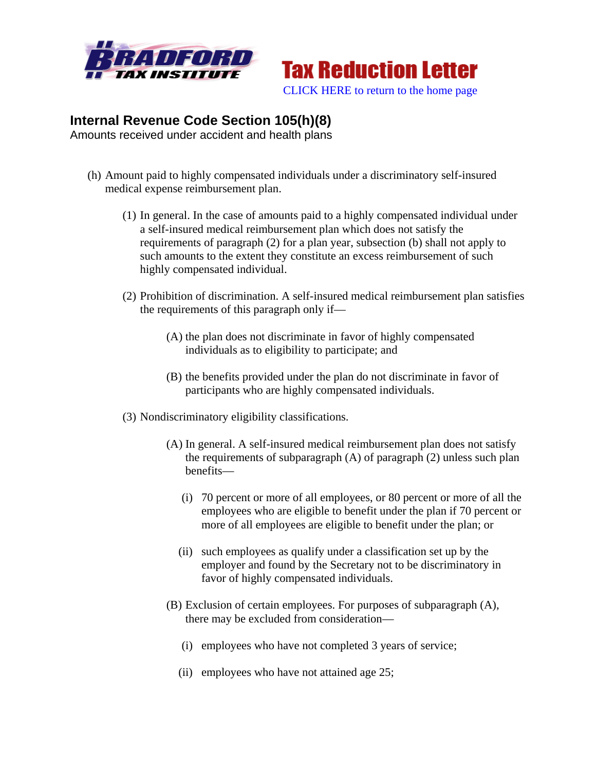



## **Internal Revenue Code Section 105(h)(8)**

Amounts received under accident and health plans

- (h) Amount paid to highly compensated individuals under a discriminatory self-insured medical expense reimbursement plan.
	- (1) In general. In the case of amounts paid to a highly compensated individual under a self-insured medical reimbursement plan which does not satisfy the requirements of paragraph (2) for a plan year, subsection (b) shall not apply to such amounts to the extent they constitute an excess reimbursement of such highly compensated individual.
	- (2) Prohibition of discrimination. A self-insured medical reimbursement plan satisfies the requirements of this paragraph only if—
		- (A) the plan does not discriminate in favor of highly compensated individuals as to eligibility to participate; and
		- (B) the benefits provided under the plan do not discriminate in favor of participants who are highly compensated individuals.
	- (3) Nondiscriminatory eligibility classifications.
		- (A) In general. A self-insured medical reimbursement plan does not satisfy the requirements of subparagraph (A) of paragraph (2) unless such plan benefits—
			- (i) 70 percent or more of all employees, or 80 percent or more of all the employees who are eligible to benefit under the plan if 70 percent or more of all employees are eligible to benefit under the plan; or
			- (ii) such employees as qualify under a classification set up by the employer and found by the Secretary not to be discriminatory in favor of highly compensated individuals.
		- (B) Exclusion of certain employees. For purposes of subparagraph (A), there may be excluded from consideration—
			- (i) employees who have not completed 3 years of service;
			- (ii) employees who have not attained age 25;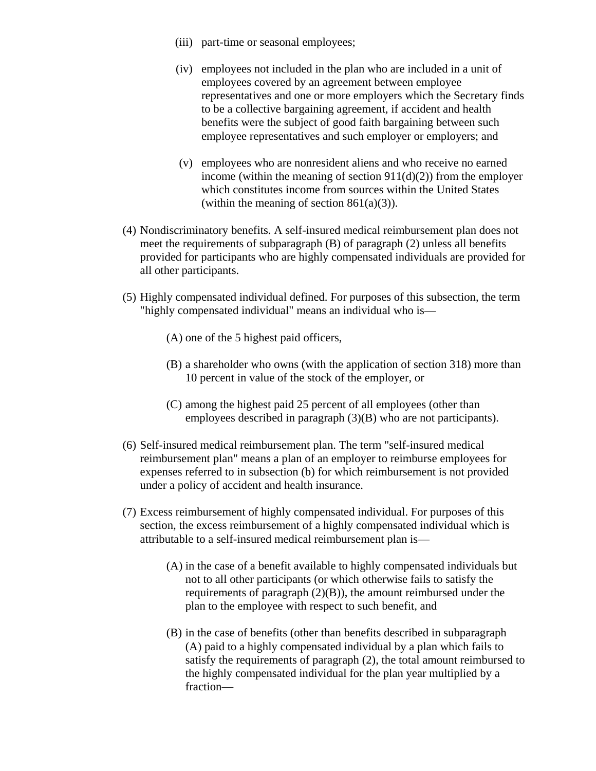- (iii) part-time or seasonal employees;
- (iv) employees not included in the plan who are included in a unit of employees covered by an agreement between employee representatives and one or more employers which the Secretary finds to be a collective bargaining agreement, if accident and health benefits were the subject of good faith bargaining between such employee representatives and such employer or employers; and
- (v) employees who are nonresident aliens and who receive no earned income (within the meaning of section  $911(d)(2)$ ) from the employer which constitutes income from sources within the United States (within the meaning of section  $861(a)(3)$ ).
- (4) Nondiscriminatory benefits. A self-insured medical reimbursement plan does not meet the requirements of subparagraph (B) of paragraph (2) unless all benefits provided for participants who are highly compensated individuals are provided for all other participants.
- (5) Highly compensated individual defined. For purposes of this subsection, the term "highly compensated individual" means an individual who is—
	- (A) one of the 5 highest paid officers,
	- (B) a shareholder who owns (with the application of section 318) more than 10 percent in value of the stock of the employer, or
	- (C) among the highest paid 25 percent of all employees (other than employees described in paragraph (3)(B) who are not participants).
- (6) Self-insured medical reimbursement plan. The term "self-insured medical reimbursement plan" means a plan of an employer to reimburse employees for expenses referred to in subsection (b) for which reimbursement is not provided under a policy of accident and health insurance.
- (7) Excess reimbursement of highly compensated individual. For purposes of this section, the excess reimbursement of a highly compensated individual which is attributable to a self-insured medical reimbursement plan is—
	- (A) in the case of a benefit available to highly compensated individuals but not to all other participants (or which otherwise fails to satisfy the requirements of paragraph (2)(B)), the amount reimbursed under the plan to the employee with respect to such benefit, and
	- (B) in the case of benefits (other than benefits described in subparagraph (A) paid to a highly compensated individual by a plan which fails to satisfy the requirements of paragraph (2), the total amount reimbursed to the highly compensated individual for the plan year multiplied by a fraction—